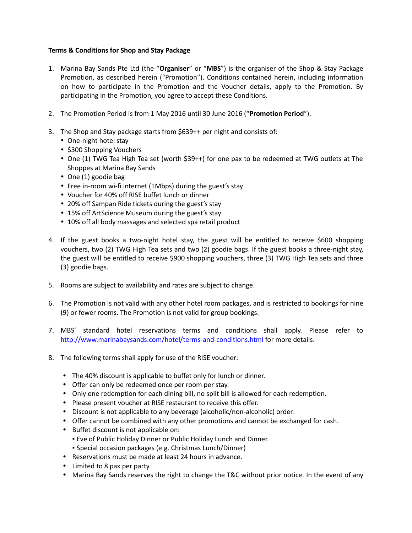## **Terms & Conditions for Shop and Stay Package**

- 1. Marina Bay Sands Pte Ltd (the "**Organiser**" or "**MBS**") is the organiser of the Shop & Stay Package Promotion, as described herein ("Promotion"). Conditions contained herein, including information on how to participate in the Promotion and the Voucher details, apply to the Promotion. By participating in the Promotion, you agree to accept these Conditions.
- 2. The Promotion Period is from 1 May 2016 until 30 June 2016 ("**Promotion Period**").
- 3. The Shop and Stay package starts from \$639++ per night and consists of:
	- One-night hotel stay
	- \$300 Shopping Vouchers
	- One (1) TWG Tea High Tea set (worth \$39++) for one pax to be redeemed at TWG outlets at The Shoppes at Marina Bay Sands
	- One (1) goodie bag
	- Free in-room wi-fi internet (1Mbps) during the guest's stay
	- Voucher for 40% off RISE buffet lunch or dinner
	- 20% off Sampan Ride tickets during the guest's stay
	- 15% off ArtScience Museum during the guest's stay
	- 10% off all body massages and selected spa retail product
- 4. If the guest books a two-night hotel stay, the guest will be entitled to receive \$600 shopping vouchers, two (2) TWG High Tea sets and two (2) goodie bags. If the guest books a three-night stay, the guest will be entitled to receive \$900 shopping vouchers, three (3) TWG High Tea sets and three (3) goodie bags.
- 5. Rooms are subject to availability and rates are subject to change.
- 6. The Promotion is not valid with any other hotel room packages, and is restricted to bookings for nine (9) or fewer rooms. The Promotion is not valid for group bookings.
- 7. MBS' standard hotel reservations terms and conditions shall apply. Please refer to <http://www.marinabaysands.com/hotel/terms-and-conditions.html> for more details.
- 8. The following terms shall apply for use of the RISE voucher:
	- The 40% discount is applicable to buffet only for lunch or dinner.
	- Offer can only be redeemed once per room per stay.
	- Only one redemption for each dining bill, no split bill is allowed for each redemption.
	- Please present voucher at RISE restaurant to receive this offer.
	- Discount is not applicable to any beverage (alcoholic/non-alcoholic) order.
	- Offer cannot be combined with any other promotions and cannot be exchanged for cash.
	- Buffet discount is not applicable on:
		- Eve of Public Holiday Dinner or Public Holiday Lunch and Dinner.
		- Special occasion packages (e.g. Christmas Lunch/Dinner)
	- Reservations must be made at least 24 hours in advance.
	- Limited to 8 pax per party.
	- Marina Bay Sands reserves the right to change the T&C without prior notice. In the event of any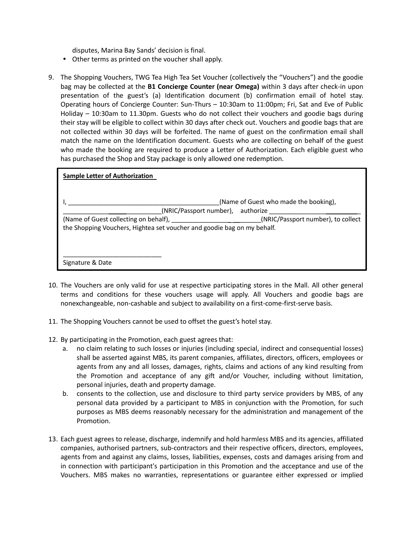disputes, Marina Bay Sands' decision is final.

- Other terms as printed on the voucher shall apply.
- 9. The Shopping Vouchers, TWG Tea High Tea Set Voucher (collectively the "Vouchers") and the goodie bag may be collected at the **B1 Concierge Counter (near Omega)** within 3 days after check-in upon presentation of the guest's (a) Identification document (b) confirmation email of hotel stay. Operating hours of Concierge Counter: Sun-Thurs – 10:30am to 11:00pm; Fri, Sat and Eve of Public Holiday – 10:30am to 11.30pm. Guests who do not collect their vouchers and goodie bags during their stay will be eligible to collect within 30 days after check out. Vouchers and goodie bags that are not collected within 30 days will be forfeited. The name of guest on the confirmation email shall match the name on the Identification document. Guests who are collecting on behalf of the guest who made the booking are required to produce a Letter of Authorization. Each eligible guest who has purchased the Shop and Stay package is only allowed one redemption.

| <b>Sample Letter of Authorization</b>                                   |                                                                                 |
|-------------------------------------------------------------------------|---------------------------------------------------------------------------------|
|                                                                         | (Name of Guest who made the booking),<br>(NRIC/Passport number), authorize      |
| the Shopping Vouchers, Hightea set voucher and goodie bag on my behalf. | (Name of Guest collecting on behalf), [2003] (NRIC/Passport number), to collect |
| Signature & Date                                                        |                                                                                 |

- 10. The Vouchers are only valid for use at respective participating stores in the Mall. All other general terms and conditions for these vouchers usage will apply. All Vouchers and goodie bags are nonexchangeable, non-cashable and subject to availability on a first-come-first-serve basis.
- 11. The Shopping Vouchers cannot be used to offset the guest's hotel stay.
- 12. By participating in the Promotion, each guest agrees that:
	- a. no claim relating to such losses or injuries (including special, indirect and consequential losses) shall be asserted against MBS, its parent companies, affiliates, directors, officers, employees or agents from any and all losses, damages, rights, claims and actions of any kind resulting from the Promotion and acceptance of any gift and/or Voucher, including without limitation, personal injuries, death and property damage.
	- b. consents to the collection, use and disclosure to third party service providers by MBS, of any personal data provided by a participant to MBS in conjunction with the Promotion, for such purposes as MBS deems reasonably necessary for the administration and management of the Promotion.
- 13. Each guest agrees to release, discharge, indemnify and hold harmless MBS and its agencies, affiliated companies, authorised partners, sub-contractors and their respective officers, directors, employees, agents from and against any claims, losses, liabilities, expenses, costs and damages arising from and in connection with participant's participation in this Promotion and the acceptance and use of the Vouchers. MBS makes no warranties, representations or guarantee either expressed or implied